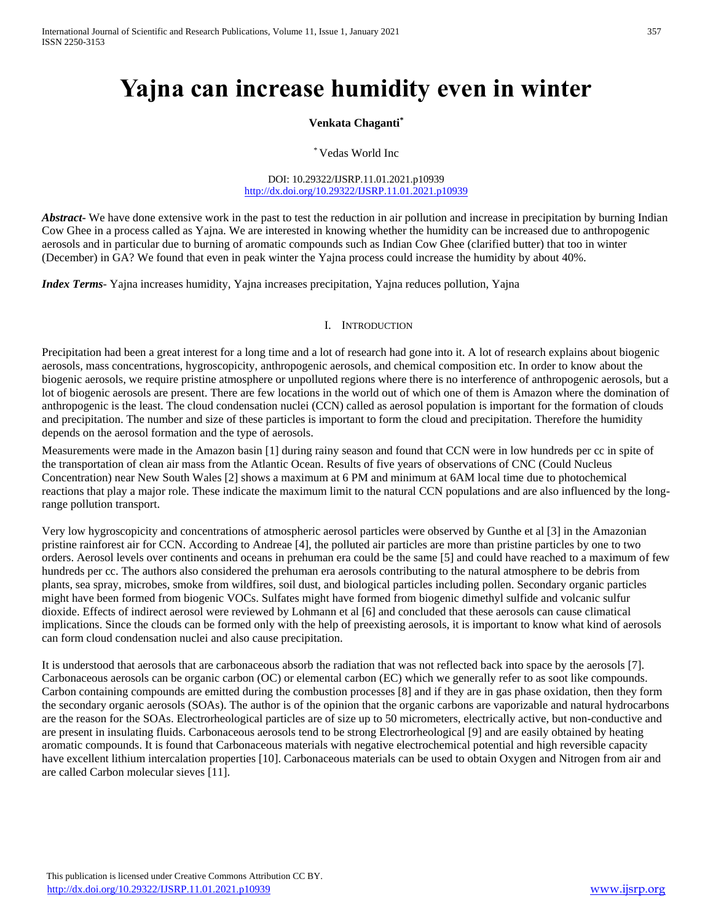# **Yajna can increase humidity even in winter**

## **Venkata Chaganti\***

\* Vedas World Inc

DOI: 10.29322/IJSRP.11.01.2021.p10939 <http://dx.doi.org/10.29322/IJSRP.11.01.2021.p10939>

*Abstract* We have done extensive work in the past to test the reduction in air pollution and increase in precipitation by burning Indian Cow Ghee in a process called as Yajna. We are interested in knowing whether the humidity can be increased due to anthropogenic aerosols and in particular due to burning of aromatic compounds such as Indian Cow Ghee (clarified butter) that too in winter (December) in GA? We found that even in peak winter the Yajna process could increase the humidity by about 40%.

*Index Terms*- Yajna increases humidity, Yajna increases precipitation, Yajna reduces pollution, Yajna

## I. INTRODUCTION

Precipitation had been a great interest for a long time and a lot of research had gone into it. A lot of research explains about biogenic aerosols, mass concentrations, hygroscopicity, anthropogenic aerosols, and chemical composition etc. In order to know about the biogenic aerosols, we require pristine atmosphere or unpolluted regions where there is no interference of anthropogenic aerosols, but a lot of biogenic aerosols are present. There are few locations in the world out of which one of them is Amazon where the domination of anthropogenic is the least. The cloud condensation nuclei (CCN) called as aerosol population is important for the formation of clouds and precipitation. The number and size of these particles is important to form the cloud and precipitation. Therefore the humidity depends on the aerosol formation and the type of aerosols.

Measurements were made in the Amazon basin [1] during rainy season and found that CCN were in low hundreds per cc in spite of the transportation of clean air mass from the Atlantic Ocean. Results of five years of observations of CNC (Could Nucleus Concentration) near New South Wales [2] shows a maximum at 6 PM and minimum at 6AM local time due to photochemical reactions that play a major role. These indicate the maximum limit to the natural CCN populations and are also influenced by the longrange pollution transport.

Very low hygroscopicity and concentrations of atmospheric aerosol particles were observed by Gunthe et al [3] in the Amazonian pristine rainforest air for CCN. According to Andreae [4], the polluted air particles are more than pristine particles by one to two orders. Aerosol levels over continents and oceans in prehuman era could be the same [5] and could have reached to a maximum of few hundreds per cc. The authors also considered the prehuman era aerosols contributing to the natural atmosphere to be debris from plants, sea spray, microbes, smoke from wildfires, soil dust, and biological particles including pollen. Secondary organic particles might have been formed from biogenic VOCs. Sulfates might have formed from biogenic dimethyl sulfide and volcanic sulfur dioxide. Effects of indirect aerosol were reviewed by Lohmann et al [6] and concluded that these aerosols can cause climatical implications. Since the clouds can be formed only with the help of preexisting aerosols, it is important to know what kind of aerosols can form cloud condensation nuclei and also cause precipitation.

It is understood that aerosols that are carbonaceous absorb the radiation that was not reflected back into space by the aerosols [7]. Carbonaceous aerosols can be organic carbon (OC) or elemental carbon (EC) which we generally refer to as soot like compounds. Carbon containing compounds are emitted during the combustion processes [8] and if they are in gas phase oxidation, then they form the secondary organic aerosols (SOAs). The author is of the opinion that the organic carbons are vaporizable and natural hydrocarbons are the reason for the SOAs. Electrorheological particles are of size up to 50 micrometers, electrically active, but non-conductive and are present in insulating fluids. Carbonaceous aerosols tend to be strong Electrorheological [9] and are easily obtained by heating aromatic compounds. It is found that Carbonaceous materials with negative electrochemical potential and high reversible capacity have excellent lithium intercalation properties [10]. Carbonaceous materials can be used to obtain Oxygen and Nitrogen from air and are called Carbon molecular sieves [11].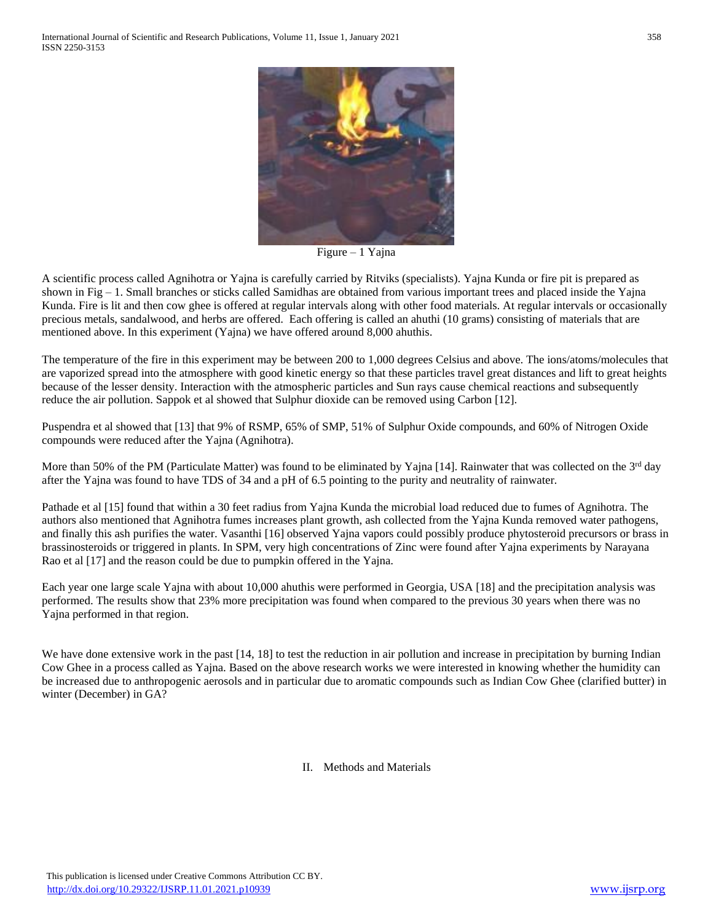

Figure – 1 Yajna

A scientific process called Agnihotra or Yajna is carefully carried by Ritviks (specialists). Yajna Kunda or fire pit is prepared as shown in Fig  $-1$ . Small branches or sticks called Samidhas are obtained from various important trees and placed inside the Yajna Kunda. Fire is lit and then cow ghee is offered at regular intervals along with other food materials. At regular intervals or occasionally precious metals, sandalwood, and herbs are offered. Each offering is called an ahuthi (10 grams) consisting of materials that are mentioned above. In this experiment (Yajna) we have offered around 8,000 ahuthis.

The temperature of the fire in this experiment may be between 200 to 1,000 degrees Celsius and above. The ions/atoms/molecules that are vaporized spread into the atmosphere with good kinetic energy so that these particles travel great distances and lift to great heights because of the lesser density. Interaction with the atmospheric particles and Sun rays cause chemical reactions and subsequently reduce the air pollution. Sappok et al showed that Sulphur dioxide can be removed using Carbon [12].

Puspendra et al showed that [13] that 9% of RSMP, 65% of SMP, 51% of Sulphur Oxide compounds, and 60% of Nitrogen Oxide compounds were reduced after the Yajna (Agnihotra).

More than 50% of the PM (Particulate Matter) was found to be eliminated by Yajna [14]. Rainwater that was collected on the  $3<sup>rd</sup>$  day after the Yajna was found to have TDS of 34 and a pH of 6.5 pointing to the purity and neutrality of rainwater.

Pathade et al [15] found that within a 30 feet radius from Yajna Kunda the microbial load reduced due to fumes of Agnihotra. The authors also mentioned that Agnihotra fumes increases plant growth, ash collected from the Yajna Kunda removed water pathogens, and finally this ash purifies the water. Vasanthi [16] observed Yajna vapors could possibly produce phytosteroid precursors or brass in brassinosteroids or triggered in plants. In SPM, very high concentrations of Zinc were found after Yajna experiments by Narayana Rao et al [17] and the reason could be due to pumpkin offered in the Yajna.

Each year one large scale Yajna with about 10,000 ahuthis were performed in Georgia, USA [18] and the precipitation analysis was performed. The results show that 23% more precipitation was found when compared to the previous 30 years when there was no Yajna performed in that region.

We have done extensive work in the past  $[14, 18]$  to test the reduction in air pollution and increase in precipitation by burning Indian Cow Ghee in a process called as Yajna. Based on the above research works we were interested in knowing whether the humidity can be increased due to anthropogenic aerosols and in particular due to aromatic compounds such as Indian Cow Ghee (clarified butter) in winter (December) in GA?

### II. Methods and Materials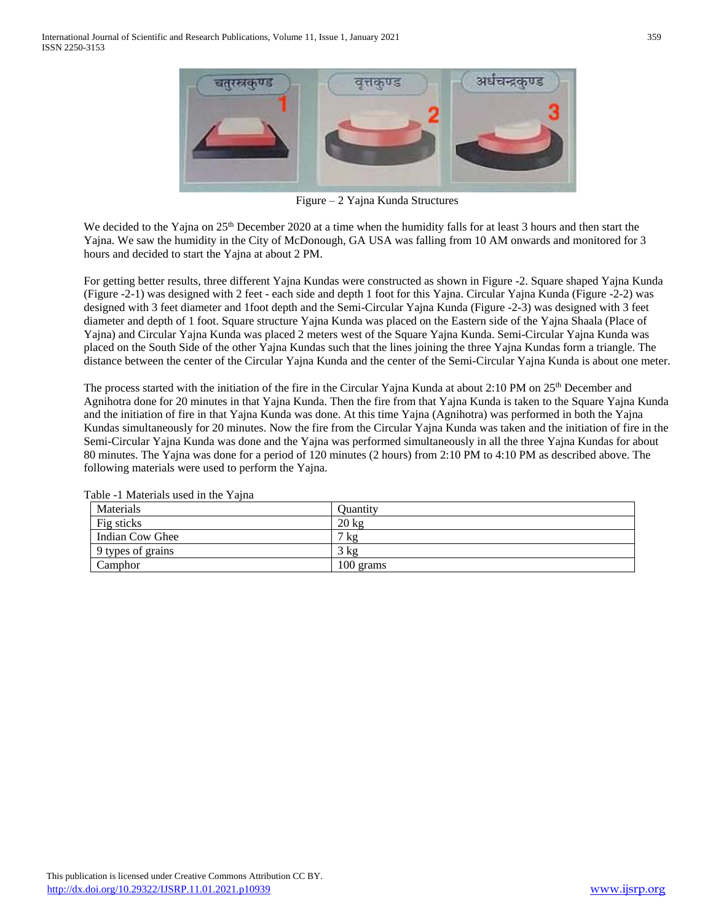

Figure – 2 Yajna Kunda Structures

We decided to the Yajna on 25<sup>th</sup> December 2020 at a time when the humidity falls for at least 3 hours and then start the Yajna. We saw the humidity in the City of McDonough, GA USA was falling from 10 AM onwards and monitored for 3 hours and decided to start the Yajna at about 2 PM.

For getting better results, three different Yajna Kundas were constructed as shown in Figure -2. Square shaped Yajna Kunda (Figure -2-1) was designed with 2 feet - each side and depth 1 foot for this Yajna. Circular Yajna Kunda (Figure -2-2) was designed with 3 feet diameter and 1foot depth and the Semi-Circular Yajna Kunda (Figure -2-3) was designed with 3 feet diameter and depth of 1 foot. Square structure Yajna Kunda was placed on the Eastern side of the Yajna Shaala (Place of Yajna) and Circular Yajna Kunda was placed 2 meters west of the Square Yajna Kunda. Semi-Circular Yajna Kunda was placed on the South Side of the other Yajna Kundas such that the lines joining the three Yajna Kundas form a triangle. The distance between the center of the Circular Yajna Kunda and the center of the Semi-Circular Yajna Kunda is about one meter.

The process started with the initiation of the fire in the Circular Yajna Kunda at about 2:10 PM on 25<sup>th</sup> December and Agnihotra done for 20 minutes in that Yajna Kunda. Then the fire from that Yajna Kunda is taken to the Square Yajna Kunda and the initiation of fire in that Yajna Kunda was done. At this time Yajna (Agnihotra) was performed in both the Yajna Kundas simultaneously for 20 minutes. Now the fire from the Circular Yajna Kunda was taken and the initiation of fire in the Semi-Circular Yajna Kunda was done and the Yajna was performed simultaneously in all the three Yajna Kundas for about 80 minutes. The Yajna was done for a period of 120 minutes (2 hours) from 2:10 PM to 4:10 PM as described above. The following materials were used to perform the Yajna.

| Materials         | <b>Ouantity</b> |
|-------------------|-----------------|
| Fig sticks        | $20$ kg         |
| Indian Cow Ghee   | $7 \text{ kg}$  |
| 9 types of grains | 3 kg            |
| Camphor           | 100 grams       |

Table -1 Materials used in the Yajna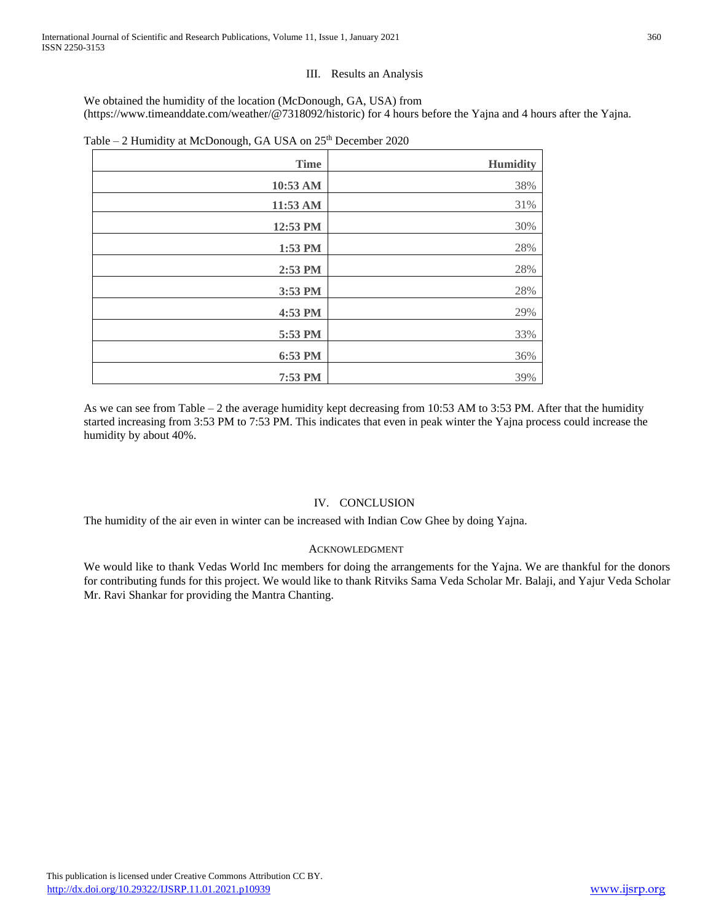## III. Results an Analysis

We obtained the humidity of the location (McDonough, GA, USA) from (https://www.timeanddate.com/weather/@7318092/historic) for 4 hours before the Yajna and 4 hours after the Yajna.

| <b>Time</b> | <b>Humidity</b> |
|-------------|-----------------|
| 10:53 AM    | 38%             |
| 11:53 AM    | 31%             |
| 12:53 PM    | 30%             |
| 1:53 PM     | 28%             |
| 2:53 PM     | 28%             |
| 3:53 PM     | 28%             |
| 4:53 PM     | 29%             |
| 5:53 PM     | 33%             |
| 6:53 PM     | 36%             |
| 7:53 PM     | 39%             |

| Table - 2 Humidity at McDonough, GA USA on 25 <sup>th</sup> December 2020 |  |  |
|---------------------------------------------------------------------------|--|--|
|                                                                           |  |  |

As we can see from Table – 2 the average humidity kept decreasing from 10:53 AM to 3:53 PM. After that the humidity started increasing from 3:53 PM to 7:53 PM. This indicates that even in peak winter the Yajna process could increase the humidity by about 40%.

## IV. CONCLUSION

The humidity of the air even in winter can be increased with Indian Cow Ghee by doing Yajna.

### ACKNOWLEDGMENT

We would like to thank Vedas World Inc members for doing the arrangements for the Yajna. We are thankful for the donors for contributing funds for this project. We would like to thank Ritviks Sama Veda Scholar Mr. Balaji, and Yajur Veda Scholar Mr. Ravi Shankar for providing the Mantra Chanting.